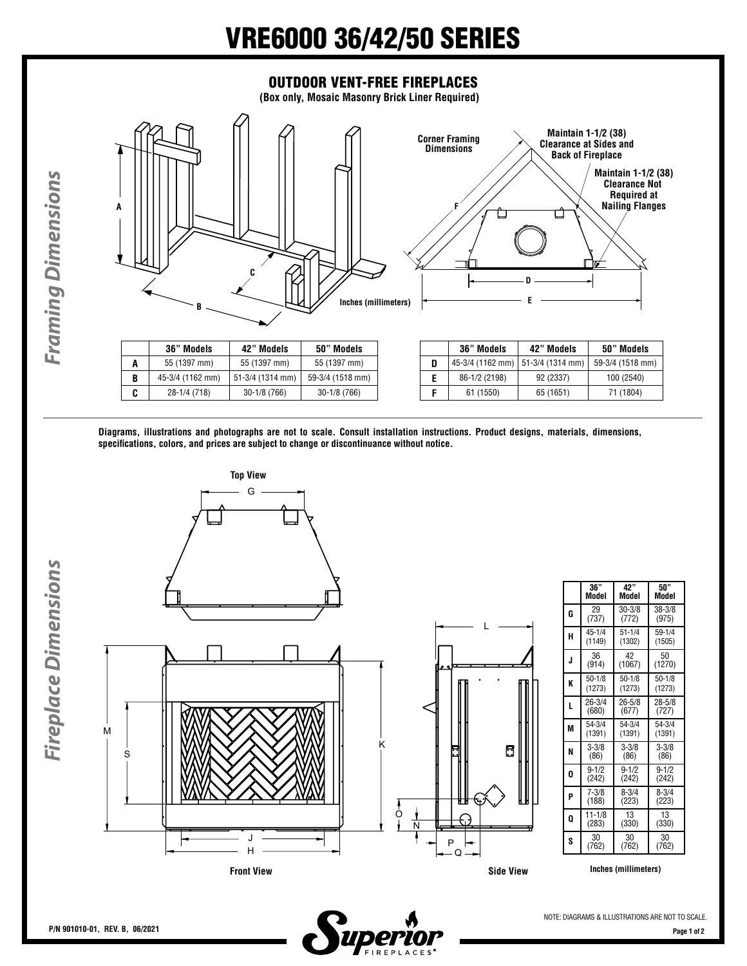## VRE6000 36/42/50 SERIES



|  |  | Diagrams, illustrations and photographs are not to scale. Consult installation instructions. Product designs, materials, dimensions, |  |  |  |
|--|--|--------------------------------------------------------------------------------------------------------------------------------------|--|--|--|
|  |  |                                                                                                                                      |  |  |  |
|  |  | specifications, colors, and prices are subject to change or discontinuance without notice.                                           |  |  |  |

**Front View Side View**



**B** 45-3/4 (1162 mm) 51-3/4 (1314 mm) 59-3/4 (1518 mm) **C** 28-1/4 (718) 30-1/8 (766) 30-1/8 (766)

|   | 36"        | 42"        | 50"       |
|---|------------|------------|-----------|
|   | Model      | Model      | Model     |
| G | 29         | $30 - 3/8$ | 38-3/8    |
|   | (737)      | (772)      | (975)     |
| н | $45 - 1/4$ | $51 - 1/4$ | 59-1/4    |
|   | (1149)     | (1302)     | (1505)    |
| J | 36         | 42         | 50        |
|   | (914)      | (1067)     | (1270)    |
| K | $50 - 1/8$ | $50 - 1/8$ | $50-1/8$  |
|   | (1273)     | (1273)     | (1273)    |
| L | 26-3/4     | 26-5/8     | 28-5/8    |
|   | (680)      | (677)      | (727)     |
| M | 54-3/4     | 54-3/4     | 54-3/4    |
|   | (1391)     | (1391)     | (1391)    |
| N | $3 - 3/8$  | $3 - 3/8$  | $3 - 3/8$ |
|   | (86)       | (86)       | (86)      |
| 0 | $9 - 1/2$  | $9 - 1/2$  | $9 - 1/2$ |
|   | (242)      | (242)      | (242)     |
| P | $7 - 3/8$  | $8 - 3/4$  | $8 - 3/4$ |
|   | (188)      | (223)      | (223)     |
| 0 | 11-1/8     | 13         | 13        |
|   | (283)      | (330)      | (330)     |
| S | 30         | 30         | 30        |
|   | (762)      | (762)      | (762)     |

**E** 86-1/2 (2198) 92 (2337) 100 (2540) **F** 61 (1550) 65 (1651) 71 (1804)

**Inches (millimeters)**

*Framing Dimensions*

**Framing Dimensions**